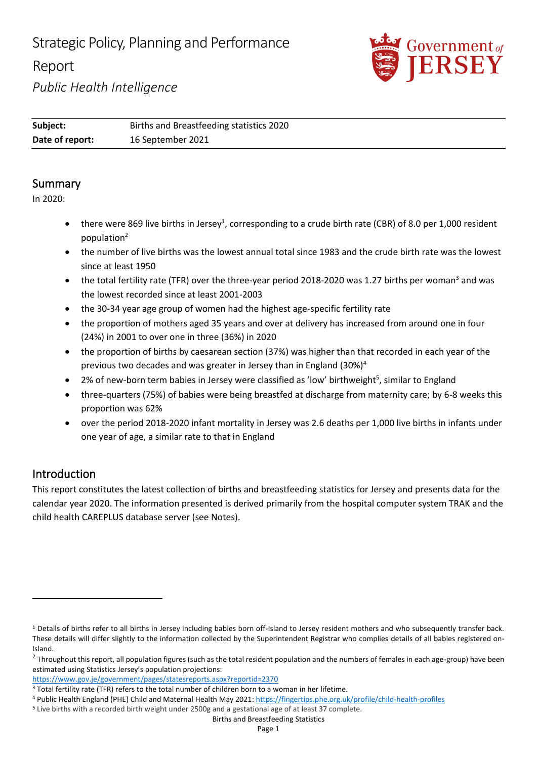# Strategic Policy, Planning and Performance Report



*Public Health Intelligence*

| Subject:        | Births and Breastfeeding statistics 2020 |
|-----------------|------------------------------------------|
| Date of report: | 16 September 2021                        |

### Summary

In 2020:

- there were 869 live births in Jersey<sup>1</sup>, corresponding to a crude birth rate (CBR) of 8.0 per 1,000 resident population<sup>2</sup>
- the number of live births was the lowest annual total since 1983 and the crude birth rate was the lowest since at least 1950
- the total fertility rate (TFR) over the three-year period 2018-2020 was 1.27 births per woman<sup>3</sup> and was the lowest recorded since at least 2001-2003
- the 30-34 year age group of women had the highest age-specific fertility rate
- the proportion of mothers aged 35 years and over at delivery has increased from around one in four (24%) in 2001 to over one in three (36%) in 2020
- the proportion of births by caesarean section (37%) was higher than that recorded in each year of the previous two decades and was greater in Jersey than in England (30%)<sup>4</sup>
- 2% of new-born term babies in Jersey were classified as 'low' birthweight<sup>5</sup>, similar to England
- three-quarters (75%) of babies were being breastfed at discharge from maternity care; by 6-8 weeks this proportion was 62%
- over the period 2018-2020 infant mortality in Jersey was 2.6 deaths per 1,000 live births in infants under one year of age, a similar rate to that in England

# Introduction

This report constitutes the latest collection of births and breastfeeding statistics for Jersey and presents data for the calendar year 2020. The information presented is derived primarily from the hospital computer system TRAK and the child health CAREPLUS database server (see Notes).

<sup>&</sup>lt;sup>1</sup> Details of births refer to all births in Jersey including babies born off-Island to Jersey resident mothers and who subsequently transfer back. These details will differ slightly to the information collected by the Superintendent Registrar who complies details of all babies registered on-Island.

 $^2$  Throughout this report, all population figures (such as the total resident population and the numbers of females in each age-group) have been estimated using Statistics Jersey's population projections:

<https://www.gov.je/government/pages/statesreports.aspx?reportid=2370>

<sup>3</sup> Total fertility rate (TFR) refers to the total number of children born to a woman in her lifetime.

<sup>4</sup> Public Health England (PHE) Child and Maternal Health May 2021:<https://fingertips.phe.org.uk/profile/child-health-profiles>

<sup>5</sup> Live births with a recorded birth weight under 2500g and a gestational age of at least 37 complete.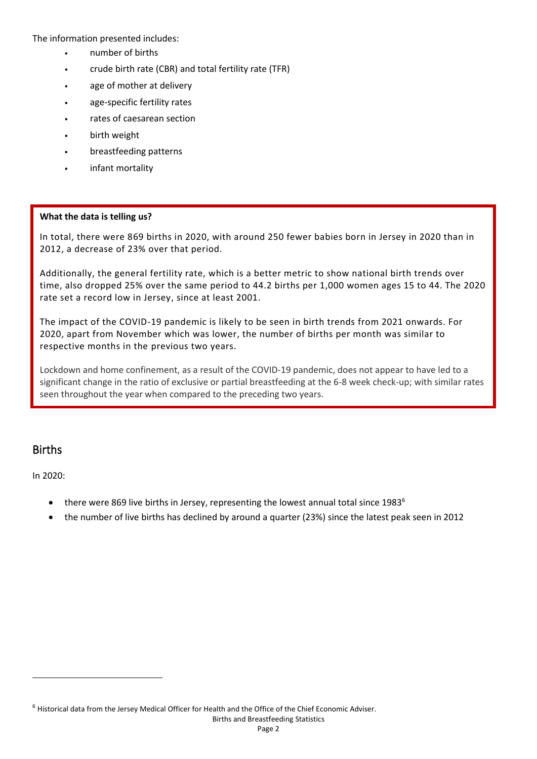The information presented includes:

- number of births
- crude birth rate (CBR) and total fertility rate (TFR)
- age of mother at delivery
- age-specific fertility rates
- rates of caesarean section
- birth weight
- breastfeeding patterns
- infant mortality

#### **What the data is telling us?**

In total, there were 869 births in 2020, with around 250 fewer babies born in Jersey in 2020 than in 2012, a decrease of 23% over that period.

Additionally, the general fertility rate, which is a better metric to show national birth trends over time, also dropped 25% over the same period to 44.2 births per 1,000 women ages 15 to 44. The 2020 rate set a record low in Jersey, since at least 2001.

The impact of the COVID-19 pandemic is likely to be seen in birth trends from 2021 onwards. For 2020, apart from November which was lower, the number of births per month was similar to respective months in the previous two years.

Lockdown and home confinement, as a result of the COVID-19 pandemic, does not appear to have led to a significant change in the ratio of exclusive or partial breastfeeding at the 6-8 week check-up; with similar rates seen throughout the year when compared to the preceding two years.

#### Births

In 2020:

- there were 869 live births in Jersey, representing the lowest annual total since  $1983^6$
- the number of live births has declined by around a quarter (23%) since the latest peak seen in 2012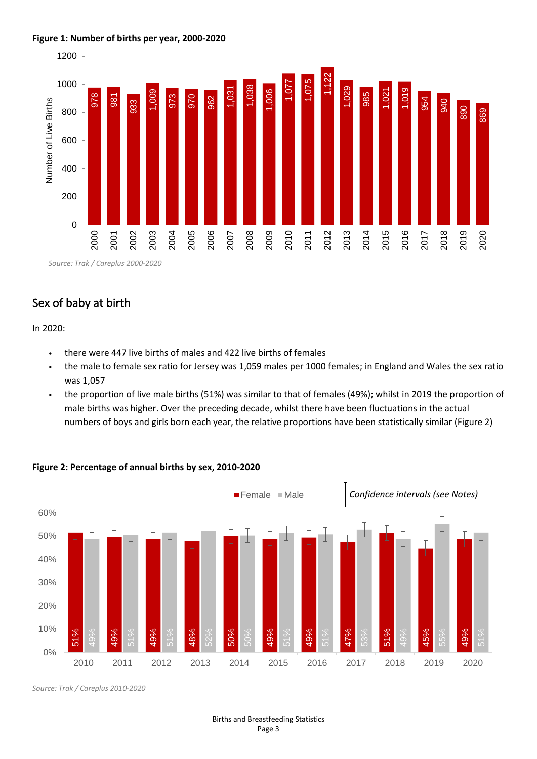#### **Figure 1: Number of births per year, 2000-2020**



### Sex of baby at birth

In 2020:

- there were 447 live births of males and 422 live births of females
- the male to female sex ratio for Jersey was 1,059 males per 1000 females; in England and Wales the sex ratio was 1,057
- the proportion of live male births (51%) was similar to that of females (49%); whilst in 2019 the proportion of male births was higher. Over the preceding decade, whilst there have been fluctuations in the actual numbers of boys and girls born each year, the relative proportions have been statistically similar (Figure 2)



#### **Figure 2: Percentage of annual births by sex, 2010-2020**

*Source: Trak / Careplus 2010-2020*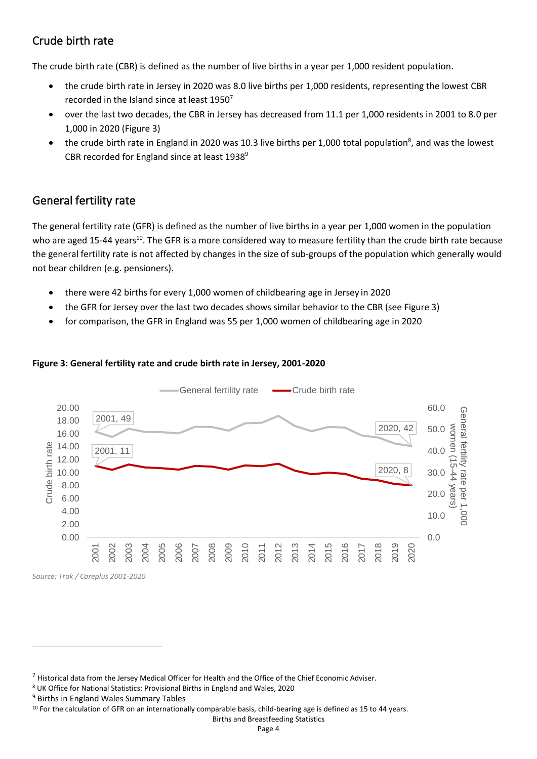# Crude birth rate

The crude birth rate (CBR) is defined as the number of live births in a year per 1,000 resident population.

- the crude birth rate in Jersey in 2020 was 8.0 live births per 1,000 residents, representing the lowest CBR recorded in the Island since at least 1950<sup>7</sup>
- over the last two decades, the CBR in Jersey has decreased from 11.1 per 1,000 residents in 2001 to 8.0 per 1,000 in 2020 (Figure 3)
- the crude birth rate in England in 2020 was 10.3 live births per 1,000 total population<sup>8</sup>, and was the lowest CBR recorded for England since at least 1938<sup>9</sup>

### General fertility rate

The general fertility rate (GFR) is defined as the number of live births in a year per 1,000 women in the population who are aged 15-44 years<sup>10</sup>. The GFR is a more considered way to measure fertility than the crude birth rate because the general fertility rate is not affected by changes in the size of sub-groups of the population which generally would not bear children (e.g. pensioners).

- there were 42 births for every 1,000 women of childbearing age in Jersey in 2020
- the GFR for Jersey over the last two decades shows similar behavior to the CBR (see Figure 3)
- for comparison, the GFR in England was 55 per 1,000 women of childbearing age in 2020



#### **Figure 3: General fertility rate and crude birth rate in Jersey, 2001-2020**

*Source: Trak / Careplus 2001-2020*

 $7$  Historical data from the Jersey Medical Officer for Health and the Office of the Chief Economic Adviser.

<sup>8</sup> UK Office for National Statistics: Provisional Births in England and Wales, 2020

<sup>9</sup> Births in England Wales Summary Tables

 $10$  For the calculation of GFR on an internationally comparable basis, child-bearing age is defined as 15 to 44 years.

Births and Breastfeeding Statistics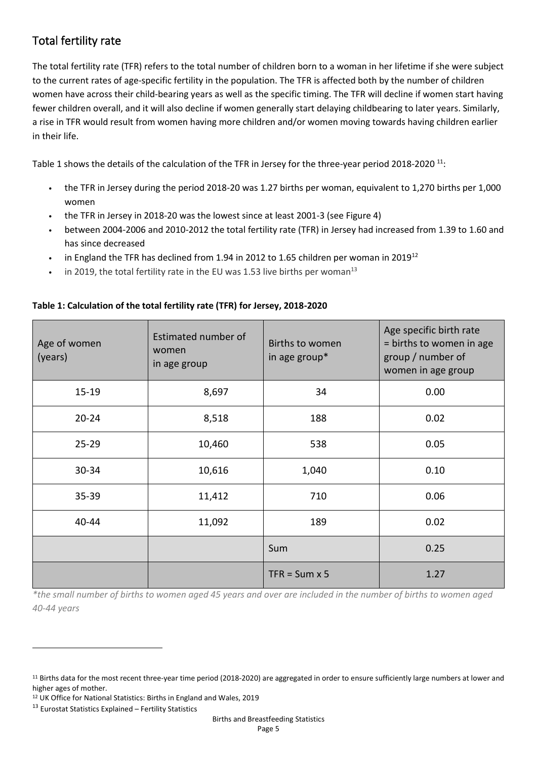# Total fertility rate

The total fertility rate (TFR) refers to the total number of children born to a woman in her lifetime if she were subject to the current rates of age-specific fertility in the population. The TFR is affected both by the number of children women have across their child-bearing years as well as the specific timing. The TFR will decline if women start having fewer children overall, and it will also decline if women generally start delaying childbearing to later years. Similarly, a rise in TFR would result from women having more children and/or women moving towards having children earlier in their life.

Table 1 shows the details of the calculation of the TFR in Jersey for the three-year period 2018-2020<sup>11</sup>:

- the TFR in Jersey during the period 2018-20 was 1.27 births per woman, equivalent to 1,270 births per 1,000 women
- the TFR in Jersey in 2018-20 was the lowest since at least 2001-3 (see Figure 4)
- between 2004-2006 and 2010-2012 the total fertility rate (TFR) in Jersey had increased from 1.39 to 1.60 and has since decreased
- in England the TFR has declined from 1.94 in 2012 to 1.65 children per woman in 2019<sup>12</sup>
- in 2019, the total fertility rate in the EU was 1.53 live births per woman<sup>13</sup>

| Age of women<br>(years) | Estimated number of<br>women<br>in age group | Births to women<br>in age group* | Age specific birth rate<br>= births to women in age<br>group / number of<br>women in age group |
|-------------------------|----------------------------------------------|----------------------------------|------------------------------------------------------------------------------------------------|
| $15 - 19$               | 8,697                                        | 34                               | 0.00                                                                                           |
| $20 - 24$               | 8,518                                        | 188                              | 0.02                                                                                           |
| $25 - 29$               | 10,460                                       | 538                              | 0.05                                                                                           |
| 30-34                   | 10,616                                       | 1,040                            | 0.10                                                                                           |
| 35-39                   | 11,412                                       | 710                              | 0.06                                                                                           |
| 40-44                   | 11,092                                       | 189                              | 0.02                                                                                           |
|                         |                                              | Sum                              | 0.25                                                                                           |
|                         |                                              | $TFR = Sum \times 5$             | 1.27                                                                                           |

#### **Table 1: Calculation of the total fertility rate (TFR) for Jersey, 2018-2020**

*\*the small number of births to women aged 45 years and over are included in the number of births to women aged 40-44 years* 

<sup>&</sup>lt;sup>11</sup> Births data for the most recent three-year time period (2018-2020) are aggregated in order to ensure sufficiently large numbers at lower and higher ages of mother.

<sup>12</sup> UK Office for National Statistics: Births in England and Wales, 2019

<sup>13</sup> Eurostat Statistics Explained – Fertility Statistics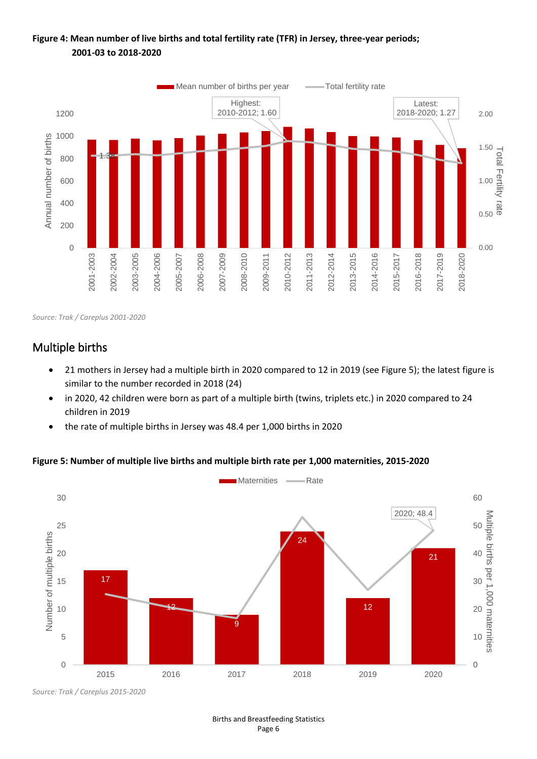### **Figure 4: Mean number of live births and total fertility rate (TFR) in Jersey, three-year periods; 2001-03 to 2018-2020**



*Source: Trak / Careplus 2001-2020*

# Multiple births

- 21 mothers in Jersey had a multiple birth in 2020 compared to 12 in 2019 (see Figure 5); the latest figure is similar to the number recorded in 2018 (24)
- in 2020, 42 children were born as part of a multiple birth (twins, triplets etc.) in 2020 compared to 24 children in 2019
- the rate of multiple births in Jersey was 48.4 per 1,000 births in 2020

#### **Figure 5: Number of multiple live births and multiple birth rate per 1,000 maternities, 2015-2020**



*Source: Trak / Careplus 2015-2020*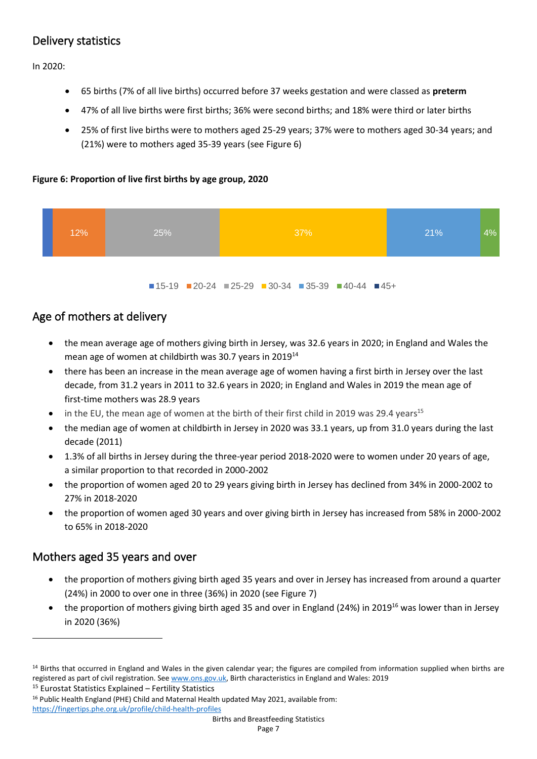# Delivery statistics

In 2020:

- 65 births (7% of all live births) occurred before 37 weeks gestation and were classed as **preterm**
- 47% of all live births were first births; 36% were second births; and 18% were third or later births
- 25% of first live births were to mothers aged 25-29 years; 37% were to mothers aged 30-34 years; and (21%) were to mothers aged 35-39 years (see Figure 6)

#### **Figure 6: Proportion of live first births by age group, 2020**



 $15-19$   $20-24$   $25-29$   $30-34$   $35-39$   $40-44$   $45+$ 

### Age of mothers at delivery

- the mean average age of mothers giving birth in Jersey, was 32.6 years in 2020; in England and Wales the mean age of women at childbirth was 30.7 years in 2019<sup>14</sup>
- there has been an increase in the mean average age of women having a first birth in Jersey over the last decade, from 31.2 years in 2011 to 32.6 years in 2020; in England and Wales in 2019 the mean age of first-time mothers was 28.9 years
- in the EU, the mean age of women at the birth of their first child in 2019 was 29.4 years<sup>15</sup>
- the median age of women at childbirth in Jersey in 2020 was 33.1 years, up from 31.0 years during the last decade (2011)
- 1.3% of all births in Jersey during the three-year period 2018-2020 were to women under 20 years of age, a similar proportion to that recorded in 2000-2002
- the proportion of women aged 20 to 29 years giving birth in Jersey has declined from 34% in 2000-2002 to 27% in 2018-2020
- the proportion of women aged 30 years and over giving birth in Jersey has increased from 58% in 2000-2002 to 65% in 2018-2020

### Mothers aged 35 years and over

- the proportion of mothers giving birth aged 35 years and over in Jersey has increased from around a quarter (24%) in 2000 to over one in three (36%) in 2020 (see Figure 7)
- the proportion of mothers giving birth aged 35 and over in England (24%) in 2019<sup>16</sup> was lower than in Jersey in 2020 (36%)

<sup>15</sup> Eurostat Statistics Explained – Fertility Statistics

<sup>16</sup> Public Health England (PHE) Child and Maternal Health updated May 2021, available from: <https://fingertips.phe.org.uk/profile/child-health-profiles>

<sup>&</sup>lt;sup>14</sup> Births that occurred in England and Wales in the given calendar year; the figures are compiled from information supplied when births are registered as part of civil registration. See [www.ons.gov.uk,](http://www.ons.gov.uk/) Birth characteristics in England and Wales: 2019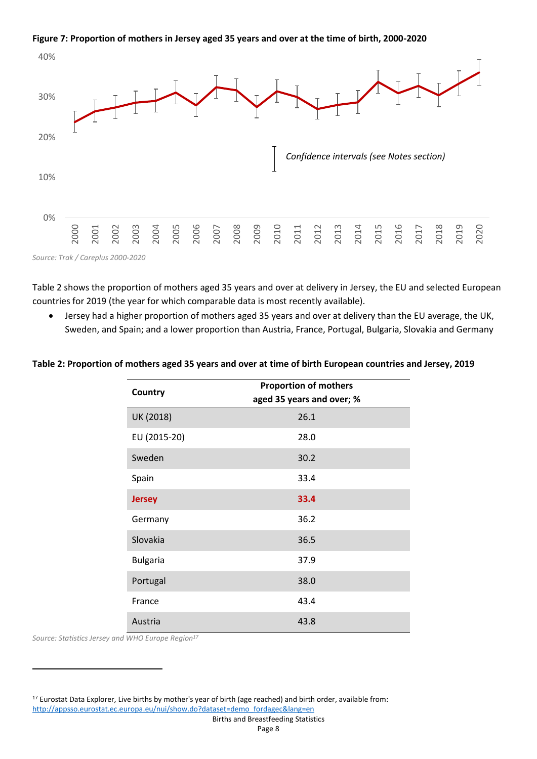#### **Figure 7: Proportion of mothers in Jersey aged 35 years and over at the time of birth, 2000-2020**



Table 2 shows the proportion of mothers aged 35 years and over at delivery in Jersey, the EU and selected European countries for 2019 (the year for which comparable data is most recently available).

• Jersey had a higher proportion of mothers aged 35 years and over at delivery than the EU average, the UK, Sweden, and Spain; and a lower proportion than Austria, France, Portugal, Bulgaria, Slovakia and Germany

#### **Table 2: Proportion of mothers aged 35 years and over at time of birth European countries and Jersey, 2019**

| Country         | <b>Proportion of mothers</b><br>aged 35 years and over; % |
|-----------------|-----------------------------------------------------------|
| UK (2018)       | 26.1                                                      |
| EU (2015-20)    | 28.0                                                      |
| Sweden          | 30.2                                                      |
| Spain           | 33.4                                                      |
| <b>Jersey</b>   | 33.4                                                      |
| Germany         | 36.2                                                      |
| Slovakia        | 36.5                                                      |
| <b>Bulgaria</b> | 37.9                                                      |
| Portugal        | 38.0                                                      |
| France          | 43.4                                                      |
| Austria         | 43.8                                                      |

*Source: Statistics Jersey and WHO Europe Region<sup>17</sup>*

<sup>17</sup> Eurostat Data Explorer, Live births by mother's year of birth (age reached) and birth order, available from: [http://appsso.eurostat.ec.europa.eu/nui/show.do?dataset=demo\\_fordagec&lang=en](http://appsso.eurostat.ec.europa.eu/nui/show.do?dataset=demo_fordagec&lang=en)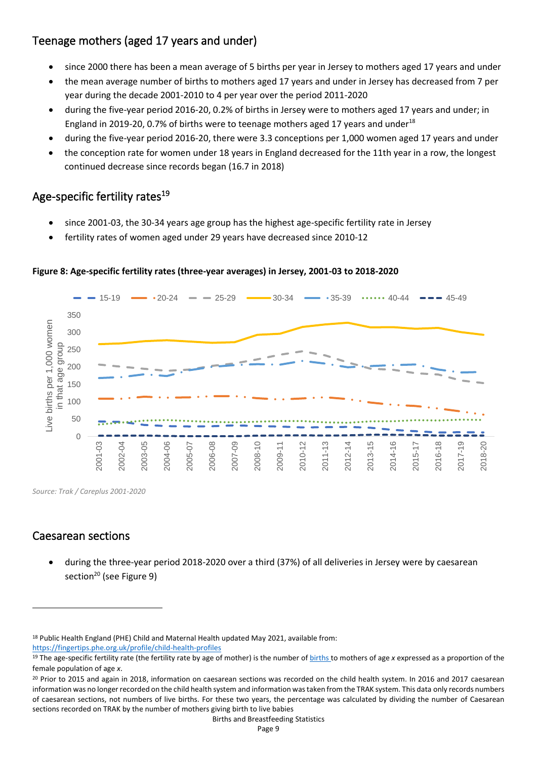# Teenage mothers (aged 17 years and under)

- since 2000 there has been a mean average of 5 births per year in Jersey to mothers aged 17 years and under
- the mean average number of births to mothers aged 17 years and under in Jersey has decreased from 7 per year during the decade 2001-2010 to 4 per year over the period 2011-2020
- during the five-year period 2016-20, 0.2% of births in Jersey were to mothers aged 17 years and under; in England in 2019-20, 0.7% of births were to teenage mothers aged 17 years and under<sup>18</sup>
- during the five-year period 2016-20, there were 3.3 conceptions per 1,000 women aged 17 years and under
- the conception rate for women under 18 years in England decreased for the 11th year in a row, the longest continued decrease since records began (16.7 in 2018)

# Age-specific fertility rates<sup>19</sup>

- since 2001-03, the 30-34 years age group has the highest age-specific fertility rate in Jersey
- fertility rates of women aged under 29 years have decreased since 2010-12



#### **Figure 8: Age-specific fertility rates (three-year averages) in Jersey, 2001-03 to 2018-2020**

*Source: Trak / Careplus 2001-2020*

# Caesarean sections

• during the three-year period 2018-2020 over a third (37%) of all deliveries in Jersey were by caesarean section<sup>20</sup> (see Figure 9)

<sup>18</sup> Public Health England (PHE) Child and Maternal Health updated May 2021, available from:

<https://fingertips.phe.org.uk/profile/child-health-profiles>

<sup>&</sup>lt;sup>19</sup> The age-specific fertility rate (the fertility rate by age of mother) is the number of [births](https://ec.europa.eu/eurostat/statistics-explained/index.php?title=Glossary:Birth) to mothers of age *x* expressed as a proportion of the female population of age *x*.

<sup>&</sup>lt;sup>20</sup> Prior to 2015 and again in 2018, information on caesarean sections was recorded on the child health system. In 2016 and 2017 caesarean information was no longer recorded on the child health system and information was taken from the TRAK system. This data only records numbers of caesarean sections, not numbers of live births. For these two years, the percentage was calculated by dividing the number of Caesarean sections recorded on TRAK by the number of mothers giving birth to live babies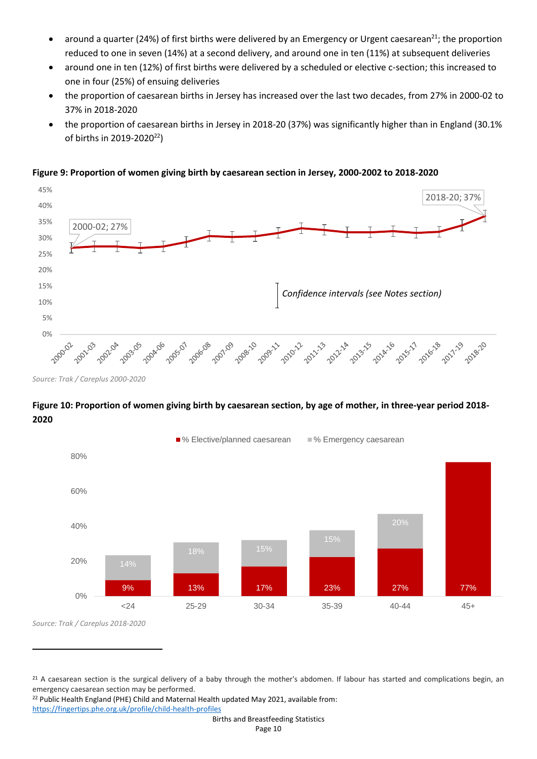- around a quarter (24%) of first births were delivered by an Emergency or Urgent caesarean<sup>21</sup>; the proportion reduced to one in seven (14%) at a second delivery, and around one in ten (11%) at subsequent deliveries
- around one in ten (12%) of first births were delivered by a scheduled or elective c-section; this increased to one in four (25%) of ensuing deliveries
- the proportion of caesarean births in Jersey has increased over the last two decades, from 27% in 2000-02 to 37% in 2018-2020
- the proportion of caesarean births in Jersey in 2018-20 (37%) was significantly higher than in England (30.1% of births in 2019-2020<sup>22</sup>)

**Figure 9: Proportion of women giving birth by caesarean section in Jersey, 2000-2002 to 2018-2020**



*Source: Trak / Careplus 2000-2020*

#### **Figure 10: Proportion of women giving birth by caesarean section, by age of mother, in three-year period 2018- 2020**



*Source: Trak / Careplus 2018-2020*

<sup>22</sup> Public Health England (PHE) Child and Maternal Health updated May 2021, available from: <https://fingertips.phe.org.uk/profile/child-health-profiles>

<sup>&</sup>lt;sup>21</sup> A caesarean section is the surgical delivery of a baby through the mother's abdomen. If labour has started and complications begin, an emergency caesarean section may be performed.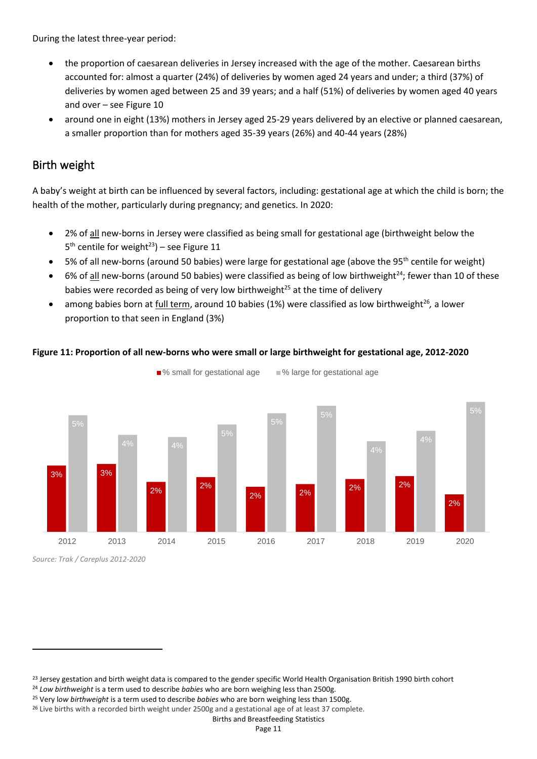During the latest three-year period:

- the proportion of caesarean deliveries in Jersey increased with the age of the mother. Caesarean births accounted for: almost a quarter (24%) of deliveries by women aged 24 years and under; a third (37%) of deliveries by women aged between 25 and 39 years; and a half (51%) of deliveries by women aged 40 years and over – see Figure 10
- around one in eight (13%) mothers in Jersey aged 25-29 years delivered by an elective or planned caesarean, a smaller proportion than for mothers aged 35-39 years (26%) and 40-44 years (28%)

### Birth weight

A baby's weight at birth can be influenced by several factors, including: gestational age at which the child is born; the health of the mother, particularly during pregnancy; and genetics. In 2020:

- 2% of all new-borns in Jersey were classified as being small for gestational age (birthweight below the  $5<sup>th</sup>$  centile for weight<sup>23</sup>) – see Figure 11
- 5% of all new-borns (around 50 babies) were large for gestational age (above the 95<sup>th</sup> centile for weight)
- 6% of all new-borns (around 50 babies) were classified as being of low birthweight<sup>24</sup>; fewer than 10 of these babies were recorded as being of very low birthweight $^{25}$  at the time of delivery
- among babies born at full term, around 10 babies (1%) were classified as low birthweight<sup>26</sup>, a lower proportion to that seen in England (3%)

#### **Figure 11: Proportion of all new-borns who were small or large birthweight for gestational age, 2012-2020**



■% small for gestational age ■ % large for gestational age

*Source: Trak / Careplus 2012-2020*

<sup>&</sup>lt;sup>23</sup> Jersey gestation and birth weight data is compared to the gender specific World Health Organisation British 1990 birth cohort

<sup>24</sup> *Low birthweight* is a term used to describe *babies* who are born weighing less than 2500g.

<sup>25</sup> Very l*ow birthweight* is a term used to describe *babies* who are born weighing less than 1500g.

<sup>&</sup>lt;sup>26</sup> Live births with a recorded birth weight under 2500g and a gestational age of at least 37 complete.

Births and Breastfeeding Statistics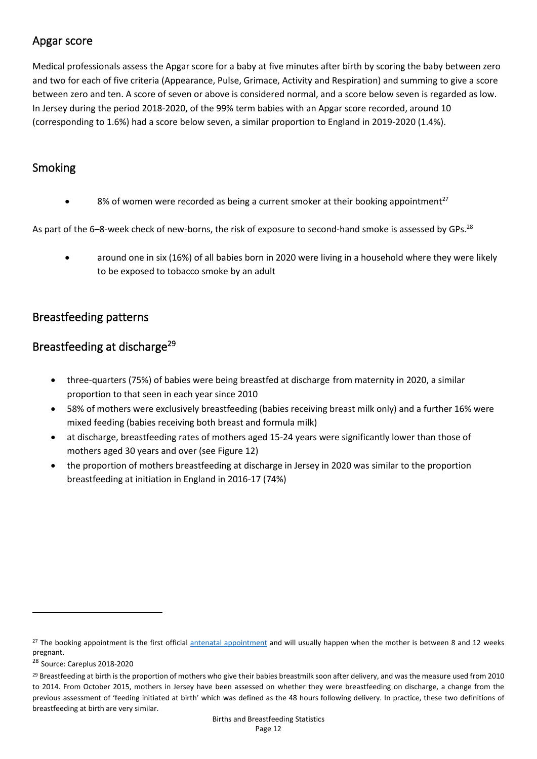### Apgar score

Medical professionals assess the Apgar score for a baby at five minutes after birth by scoring the baby between zero and two for each of five criteria (Appearance, Pulse, Grimace, Activity and Respiration) and summing to give a score between zero and ten. A score of seven or above is considered normal, and a score below seven is regarded as low. In Jersey during the period 2018-2020, of the 99% term babies with an Apgar score recorded, around 10 (corresponding to 1.6%) had a score below seven, a similar proportion to England in 2019-2020 (1.4%).

### Smoking

8% of women were recorded as being a current smoker at their booking appointment<sup>27</sup>

As part of the 6–8-week check of new-borns, the risk of exposure to second-hand smoke is assessed by GPs.<sup>28</sup>

• around one in six (16%) of all babies born in 2020 were living in a household where they were likely to be exposed to tobacco smoke by an adult

### Breastfeeding patterns

### Breastfeeding at discharge<sup>29</sup>

- three-quarters (75%) of babies were being breastfed at discharge from maternity in 2020, a similar proportion to that seen in each year since 2010
- 58% of mothers were exclusively breastfeeding (babies receiving breast milk only) and a further 16% were mixed feeding (babies receiving both breast and formula milk)
- at discharge, breastfeeding rates of mothers aged 15-24 years were significantly lower than those of mothers aged 30 years and over (see Figure 12)
- the proportion of mothers breastfeeding at discharge in Jersey in 2020 was similar to the proportion breastfeeding at initiation in England in 2016-17 (74%)

<sup>&</sup>lt;sup>27</sup> The booking appointment is the first official [antenatal appointment](https://www.tommys.org/pregnancy-information/im-pregnant/antenatal-care/your-antenatal-appointment-schedule) and will usually happen when the mother is between 8 and 12 weeks pregnant.

<sup>28</sup> Source: Careplus 2018-2020

<sup>&</sup>lt;sup>29</sup> Breastfeeding at birth is the proportion of mothers who give their babies breastmilk soon after delivery, and was the measure used from 2010 to 2014. From October 2015, mothers in Jersey have been assessed on whether they were breastfeeding on discharge, a change from the previous assessment of 'feeding initiated at birth' which was defined as the 48 hours following delivery. In practice, these two definitions of breastfeeding at birth are very similar.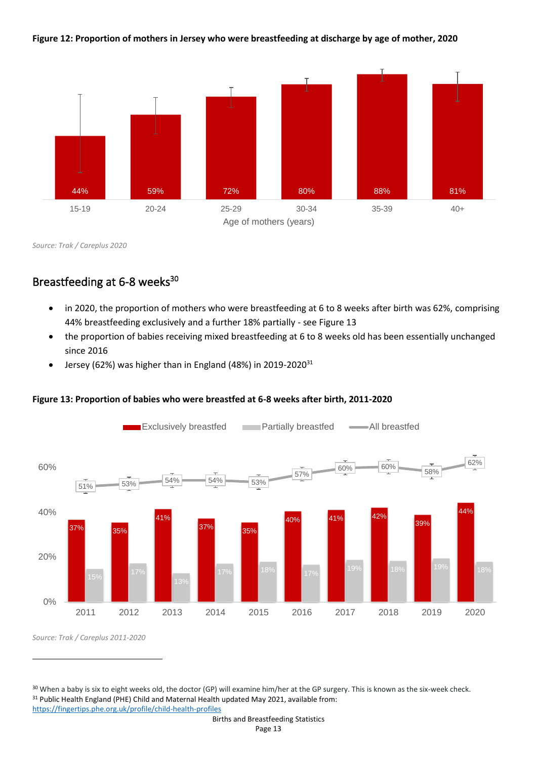**Figure 12: Proportion of mothers in Jersey who were breastfeeding at discharge by age of mother, 2020**



*Source: Trak / Careplus 2020*

# Breastfeeding at 6-8 weeks<sup>30</sup>

- in 2020, the proportion of mothers who were breastfeeding at 6 to 8 weeks after birth was 62%, comprising 44% breastfeeding exclusively and a further 18% partially - see Figure 13
- the proportion of babies receiving mixed breastfeeding at 6 to 8 weeks old has been essentially unchanged since 2016
- Jersey (62%) was higher than in England (48%) in 2019-2020 $31$



#### **Figure 13: Proportion of babies who were breastfed at 6-8 weeks after birth, 2011-2020**

*Source: Trak / Careplus 2011-2020*

<sup>30</sup> When a baby is six to eight weeks old, the doctor (GP) will examine him/her at the GP surgery. This is known as the six-week check. <sup>31</sup> Public Health England (PHE) Child and Maternal Health updated May 2021, available from: <https://fingertips.phe.org.uk/profile/child-health-profiles>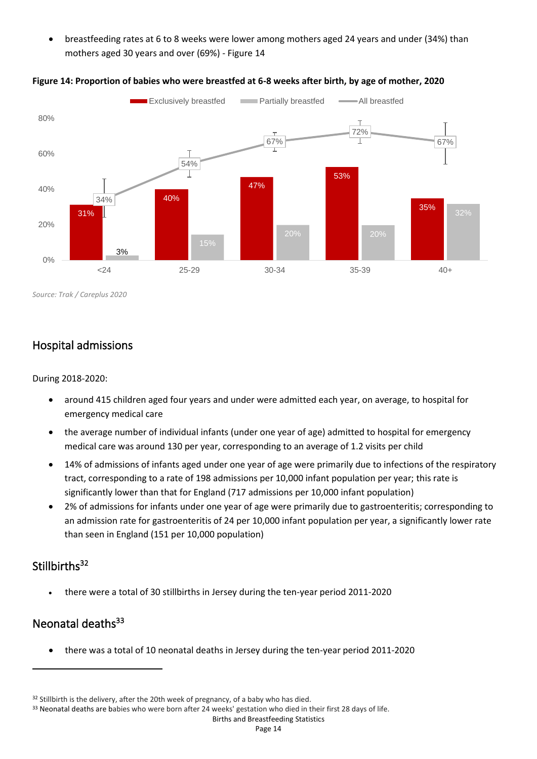• breastfeeding rates at 6 to 8 weeks were lower among mothers aged 24 years and under (34%) than mothers aged 30 years and over (69%) - Figure 14



#### **Figure 14: Proportion of babies who were breastfed at 6-8 weeks after birth, by age of mother, 2020**

*Source: Trak / Careplus 2020*

### Hospital admissions

During 2018-2020:

- around 415 children aged four years and under were admitted each year, on average, to hospital for emergency medical care
- the average number of individual infants (under one year of age) admitted to hospital for emergency medical care was around 130 per year, corresponding to an average of 1.2 visits per child
- 14% of admissions of infants aged under one year of age were primarily due to infections of the respiratory tract, corresponding to a rate of 198 admissions per 10,000 infant population per year; this rate is significantly lower than that for England (717 admissions per 10,000 infant population)
- 2% of admissions for infants under one year of age were primarily due to gastroenteritis; corresponding to an admission rate for gastroenteritis of 24 per 10,000 infant population per year, a significantly lower rate than seen in England (151 per 10,000 population)

# Stillbirths<sup>32</sup>

• there were a total of 30 stillbirths in Jersey during the ten-year period 2011-2020

# Neonatal deaths<sup>33</sup>

• there was a total of 10 neonatal deaths in Jersey during the ten-year period 2011-2020

<sup>&</sup>lt;sup>32</sup> Stillbirth is the delivery, after the 20th week of pregnancy, of a baby who has died.

<sup>33</sup> Neonatal deaths are babies who were born after 24 weeks' gestation who died in their first 28 days of life.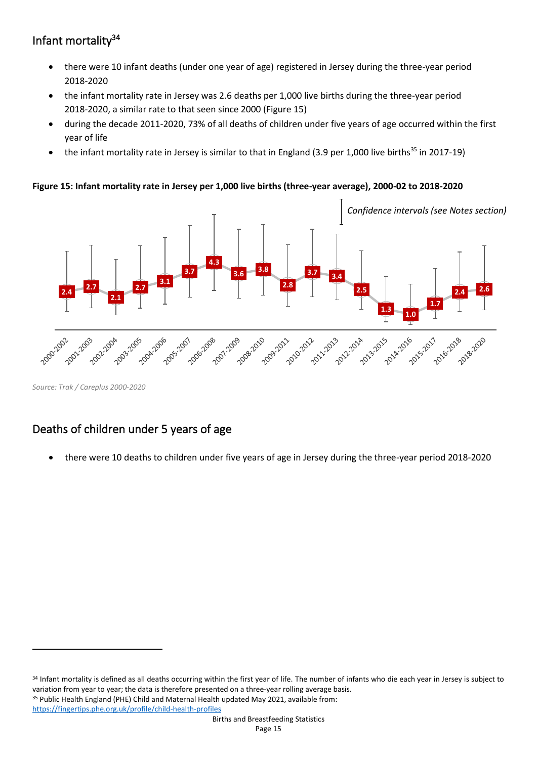# Infant mortality<sup>34</sup>

- there were 10 infant deaths (under one year of age) registered in Jersey during the three-year period 2018-2020
- the infant mortality rate in Jersey was 2.6 deaths per 1,000 live births during the three-year period 2018-2020, a similar rate to that seen since 2000 (Figure 15)
- during the decade 2011-2020, 73% of all deaths of children under five years of age occurred within the first year of life
- the infant mortality rate in Jersey is similar to that in England (3.9 per 1,000 live births $35$  in 2017-19)

#### **Figure 15: Infant mortality rate in Jersey per 1,000 live births (three-year average), 2000-02 to 2018-2020**



*Source: Trak / Careplus 2000-2020*

# Deaths of children under 5 years of age

• there were 10 deaths to children under five years of age in Jersey during the three-year period 2018-2020

<sup>34</sup> Infant mortality is defined as all deaths occurring within the first year of life. The number of infants who die each year in Jersey is subject to variation from year to year; the data is therefore presented on a three-year rolling average basis. 35 Public Health England (PHE) Child and Maternal Health updated May 2021, available from: <https://fingertips.phe.org.uk/profile/child-health-profiles>